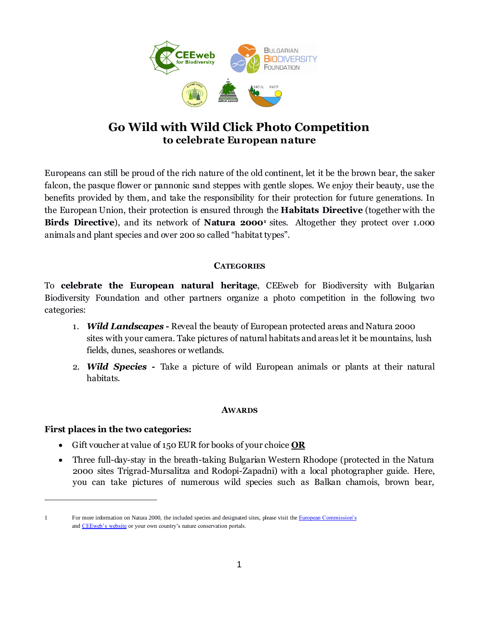

# **Go Wild with Wild Click Photo Competition to celebrate European nature**

Europeans can still be proud of the rich nature of the old continent, let it be the brown bear, the saker falcon, the pasque flower or pannonic sand steppes with gentle slopes. We enjoy their beauty, use the benefits provided by them, and take the responsibility for their protection for future generations. In the European Union, their protection is ensured through the **Habitats Directive** (together with the **Birds Directive**), and its network of **Natura 2000<sup>1</sup>** sites. Altogether they protect over 1.000 animals and plant species and over 200 so called "habitat types".

## **CATEGORIES**

To **celebrate the European natural heritage**, CEEweb for Biodiversity with Bulgarian Biodiversity Foundation and other partners organize a photo competition in the following two categories:

- 1. *Wild Landscapes -* Reveal the beauty of European protected areas and Natura 2000 sites with your camera. Take pictures of natural habitats and areas let it be mountains, lush fields, dunes, seashores or wetlands.
- 2. *Wild Species* **-** Take a picture of wild European animals or plants at their natural habitats.

#### **AWARDS**

## **First places in the two categories:**

 $\overline{a}$ 

- Gift voucher at value of 150 EUR for books of your choice **OR**
- Three full-day-stay in the breath-taking Bulgarian Western Rhodope (protected in the Natura 2000 sites Trigrad-Mursalitza and Rodopi-Zapadni) with a local photographer guide. Here, you can take pictures of numerous wild species such as Balkan chamois, brown bear,

<sup>1</sup> For more information on Natura 2000, the included species and designated sites, please visit th[e European Commission's](http://ec.europa.eu/environment/nature/natura2000/index_en.htm) and **CEEweb**'s website or your own country's nature conservation portals.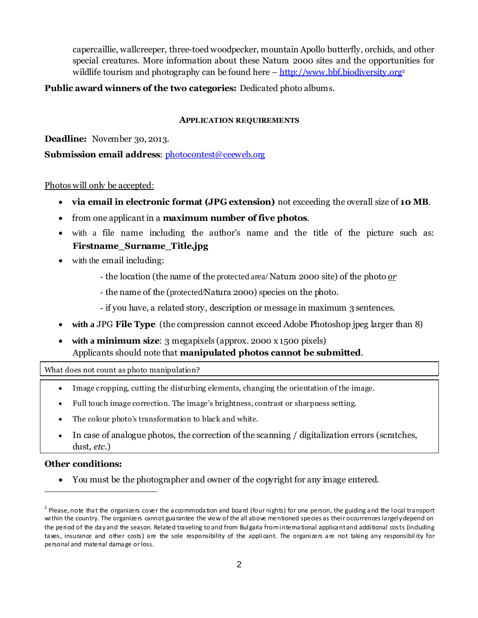capercaillie, wallcreeper, three-toed woodpecker, mountain Apollo butterfly, orchids, and other special creatures. More information about these Natura 2000 sites and the opportunities for wildlife tourism and photography can be found here  $-\frac{http://www.bbf.biodiversity.org<sup>2</sup>}{http://www.bbf.biodiversity.org<sup>2</sup>}$  $-\frac{http://www.bbf.biodiversity.org<sup>2</sup>}{http://www.bbf.biodiversity.org<sup>2</sup>}$  $-\frac{http://www.bbf.biodiversity.org<sup>2</sup>}{http://www.bbf.biodiversity.org<sup>2</sup>}$ 

#### **Public award winners of the two categories:** Dedicated photo albums.

#### **APPLICATION REQUIREMENTS**

**Deadline:** November 30, 2013.

**Submission email address**: [photocontest@ceeweb.org](mailto:photocontest@ceeweb.org)

Photos will only be accepted:

- **via email in electronic format (JPG extension)** not exceeding the overall size of **10 MB**.
- from one applicant in a **maximum number of five photos**.
- with a file name including the author's name and the title of the picture such as: **Firstname\_Surname\_Title.jpg**
- with the email including:
	- the location (the name of the protected area/ Natura 2000 site) of the photo *or*
	- the name of the (protected/Natura 2000) species on the photo.
	- if you have, a related story, description or message in maximum 3 sentences.
- **with a** JPG **File Type** (the compression cannot exceed Adobe Photoshop jpeg larger than 8)
- **with a minimum size**: 3 megapixels (approx. 2000 x 1500 pixels) Applicants should note that **manipulated photos cannot be submitted**.

What does not count as photo manipulation?

- Image cropping, cutting the disturbing elements, changing the orientation of the image.
- Full touch image correction. The image's brightness, contrast or sharpness setting.
- The colour photo's transformation to black and white.
- In case of analogue photos, the correction of the scanning / digitalization errors (scratches, dust, *etc.*)

#### **Other conditions:**

 $\overline{a}$ 

You must be the photographer and owner of the copyright for any image entered.

<sup>&</sup>lt;sup>2</sup> Please, note that the organizers cover the accommodation and board (four nights) for one person, the guiding and the local transport within the country. The organizers cannot guarantee the view of the all above mentioned species as their occurrences largely depend on the period of the day and the season. Related traveling to and from Bulgaria from international applicant and additional costs (induding taxes, insurance and other costs) are the sole responsibility of the applicant. The organizers are not taking any responsibil ity for personal and material damage or loss.